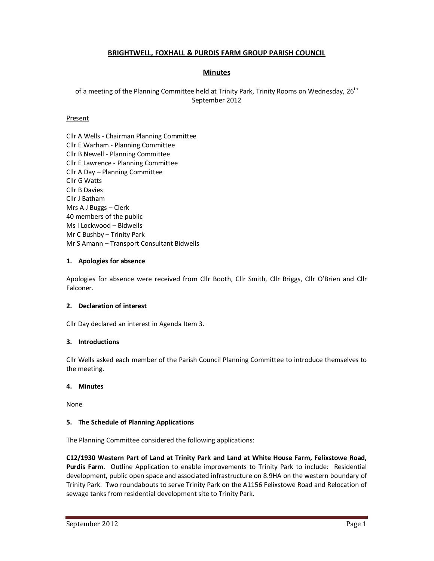# **BRIGHTWELL, FOXHALL & PURDIS FARM GROUP PARISH COUNCIL**

# **Minutes**

of a meeting of the Planning Committee held at Trinity Park, Trinity Rooms on Wednesday, 26<sup>th</sup> September 2012

### Present

Cllr A Wells - Chairman Planning Committee Cllr E Warham - Planning Committee Cllr B Newell - Planning Committee Cllr E Lawrence - Planning Committee Cllr A Day – Planning Committee Cllr G Watts Cllr B Davies Cllr J Batham Mrs A J Buggs – Clerk 40 members of the public Ms I Lockwood – Bidwells Mr C Bushby – Trinity Park Mr S Amann – Transport Consultant Bidwells

### **1. Apologies for absence**

Apologies for absence were received from Cllr Booth, Cllr Smith, Cllr Briggs, Cllr O'Brien and Cllr Falconer.

# **2. Declaration of interest**

Cllr Day declared an interest in Agenda Item 3.

#### **3. Introductions**

Cllr Wells asked each member of the Parish Council Planning Committee to introduce themselves to the meeting.

#### **4. Minutes**

None

#### **5. The Schedule of Planning Applications**

The Planning Committee considered the following applications:

**C12/1930 Western Part of Land at Trinity Park and Land at White House Farm, Felixstowe Road, Purdis Farm**. Outline Application to enable improvements to Trinity Park to include: Residential development, public open space and associated infrastructure on 8.9HA on the western boundary of Trinity Park. Two roundabouts to serve Trinity Park on the A1156 Felixstowe Road and Relocation of sewage tanks from residential development site to Trinity Park.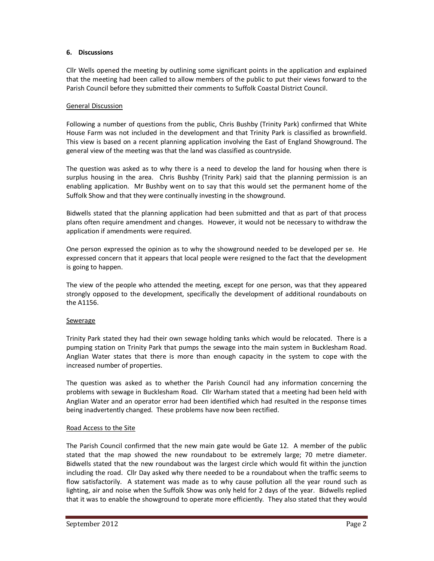### **6. Discussions**

Cllr Wells opened the meeting by outlining some significant points in the application and explained that the meeting had been called to allow members of the public to put their views forward to the Parish Council before they submitted their comments to Suffolk Coastal District Council.

### General Discussion

Following a number of questions from the public, Chris Bushby (Trinity Park) confirmed that White House Farm was not included in the development and that Trinity Park is classified as brownfield. This view is based on a recent planning application involving the East of England Showground. The general view of the meeting was that the land was classified as countryside.

The question was asked as to why there is a need to develop the land for housing when there is surplus housing in the area. Chris Bushby (Trinity Park) said that the planning permission is an enabling application. Mr Bushby went on to say that this would set the permanent home of the Suffolk Show and that they were continually investing in the showground.

Bidwells stated that the planning application had been submitted and that as part of that process plans often require amendment and changes. However, it would not be necessary to withdraw the application if amendments were required.

One person expressed the opinion as to why the showground needed to be developed per se. He expressed concern that it appears that local people were resigned to the fact that the development is going to happen.

The view of the people who attended the meeting, except for one person, was that they appeared strongly opposed to the development, specifically the development of additional roundabouts on the A1156.

#### Sewerage

Trinity Park stated they had their own sewage holding tanks which would be relocated. There is a pumping station on Trinity Park that pumps the sewage into the main system in Bucklesham Road. Anglian Water states that there is more than enough capacity in the system to cope with the increased number of properties.

The question was asked as to whether the Parish Council had any information concerning the problems with sewage in Bucklesham Road. Cllr Warham stated that a meeting had been held with Anglian Water and an operator error had been identified which had resulted in the response times being inadvertently changed. These problems have now been rectified.

#### Road Access to the Site

The Parish Council confirmed that the new main gate would be Gate 12. A member of the public stated that the map showed the new roundabout to be extremely large; 70 metre diameter. Bidwells stated that the new roundabout was the largest circle which would fit within the junction including the road. Cllr Day asked why there needed to be a roundabout when the traffic seems to flow satisfactorily. A statement was made as to why cause pollution all the year round such as lighting, air and noise when the Suffolk Show was only held for 2 days of the year. Bidwells replied that it was to enable the showground to operate more efficiently. They also stated that they would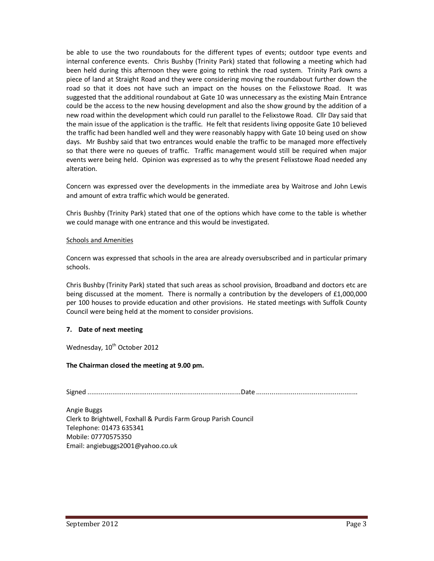be able to use the two roundabouts for the different types of events; outdoor type events and internal conference events. Chris Bushby (Trinity Park) stated that following a meeting which had been held during this afternoon they were going to rethink the road system. Trinity Park owns a piece of land at Straight Road and they were considering moving the roundabout further down the road so that it does not have such an impact on the houses on the Felixstowe Road. It was suggested that the additional roundabout at Gate 10 was unnecessary as the existing Main Entrance could be the access to the new housing development and also the show ground by the addition of a new road within the development which could run parallel to the Felixstowe Road. Cllr Day said that the main issue of the application is the traffic. He felt that residents living opposite Gate 10 believed the traffic had been handled well and they were reasonably happy with Gate 10 being used on show days. Mr Bushby said that two entrances would enable the traffic to be managed more effectively so that there were no queues of traffic. Traffic management would still be required when major events were being held. Opinion was expressed as to why the present Felixstowe Road needed any alteration.

Concern was expressed over the developments in the immediate area by Waitrose and John Lewis and amount of extra traffic which would be generated.

Chris Bushby (Trinity Park) stated that one of the options which have come to the table is whether we could manage with one entrance and this would be investigated.

#### Schools and Amenities

Concern was expressed that schools in the area are already oversubscribed and in particular primary schools.

Chris Bushby (Trinity Park) stated that such areas as school provision, Broadband and doctors etc are being discussed at the moment. There is normally a contribution by the developers of £1,000,000 per 100 houses to provide education and other provisions. He stated meetings with Suffolk County Council were being held at the moment to consider provisions.

#### **7. Date of next meeting**

Wednesday, 10<sup>th</sup> October 2012

#### **The Chairman closed the meeting at 9.00 pm.**

Signed ................................................................................ Date .....................................................

Angie Buggs Clerk to Brightwell, Foxhall & Purdis Farm Group Parish Council Telephone: 01473 635341 Mobile: 07770575350 Email: angiebuggs2001@yahoo.co.uk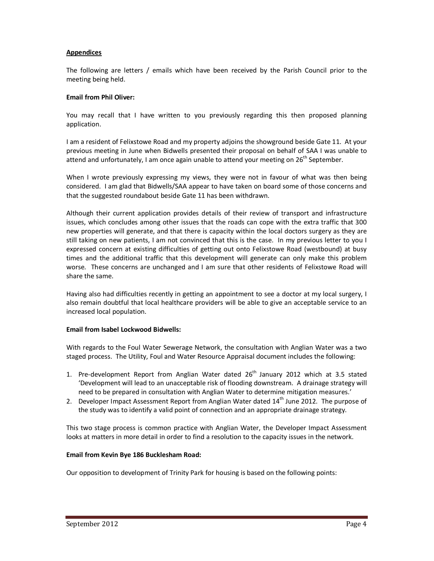# **Appendices**

The following are letters / emails which have been received by the Parish Council prior to the meeting being held.

### **Email from Phil Oliver:**

You may recall that I have written to you previously regarding this then proposed planning application.

I am a resident of Felixstowe Road and my property adjoins the showground beside Gate 11. At your previous meeting in June when Bidwells presented their proposal on behalf of SAA I was unable to attend and unfortunately, I am once again unable to attend your meeting on 26<sup>th</sup> September.

When I wrote previously expressing my views, they were not in favour of what was then being considered. I am glad that Bidwells/SAA appear to have taken on board some of those concerns and that the suggested roundabout beside Gate 11 has been withdrawn.

Although their current application provides details of their review of transport and infrastructure issues, which concludes among other issues that the roads can cope with the extra traffic that 300 new properties will generate, and that there is capacity within the local doctors surgery as they are still taking on new patients, I am not convinced that this is the case. In my previous letter to you I expressed concern at existing difficulties of getting out onto Felixstowe Road (westbound) at busy times and the additional traffic that this development will generate can only make this problem worse. These concerns are unchanged and I am sure that other residents of Felixstowe Road will share the same.

Having also had difficulties recently in getting an appointment to see a doctor at my local surgery, I also remain doubtful that local healthcare providers will be able to give an acceptable service to an increased local population.

#### **Email from Isabel Lockwood Bidwells:**

With regards to the Foul Water Sewerage Network, the consultation with Anglian Water was a two staged process. The Utility, Foul and Water Resource Appraisal document includes the following:

- 1. Pre-development Report from Anglian Water dated  $26<sup>th</sup>$  January 2012 which at 3.5 stated 'Development will lead to an unacceptable risk of flooding downstream. A drainage strategy will need to be prepared in consultation with Anglian Water to determine mitigation measures.'
- 2. Developer Impact Assessment Report from Anglian Water dated  $14<sup>th</sup>$  June 2012. The purpose of the study was to identify a valid point of connection and an appropriate drainage strategy.

This two stage process is common practice with Anglian Water, the Developer Impact Assessment looks at matters in more detail in order to find a resolution to the capacity issues in the network.

# **Email from Kevin Bye 186 Bucklesham Road:**

Our opposition to development of Trinity Park for housing is based on the following points: